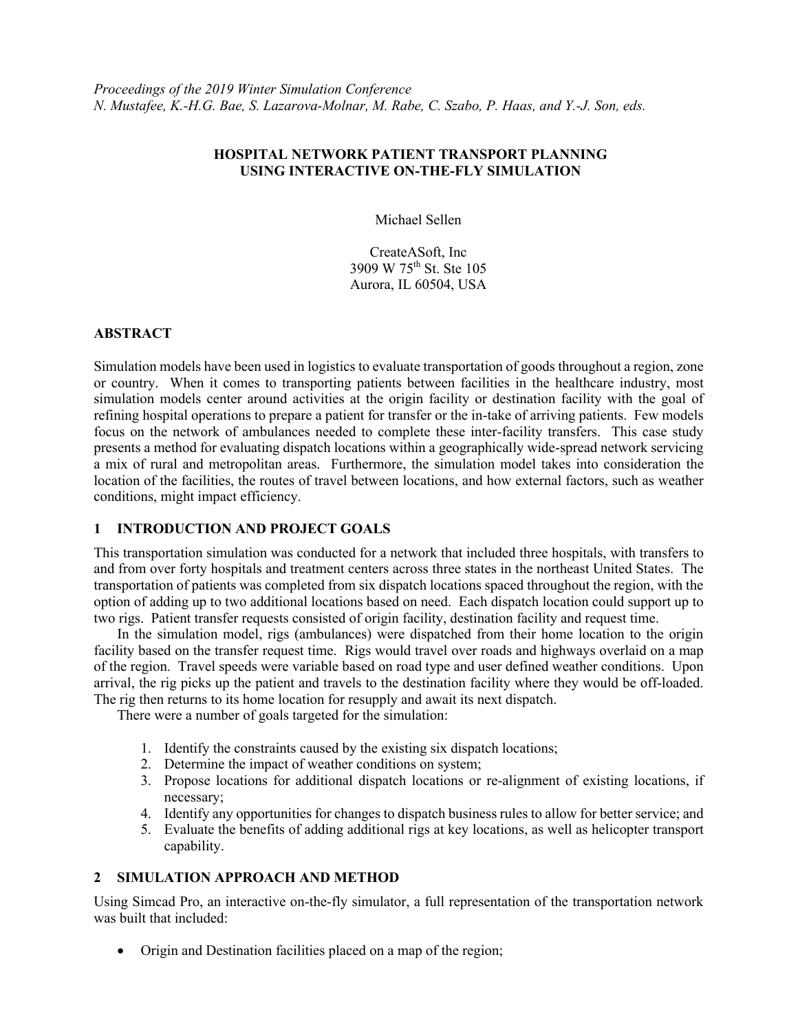## **HOSPITAL NETWORK PATIENT TRANSPORT PLANNING USING INTERACTIVE ON-THE-FLY SIMULATION**

Michael Sellen

CreateASoft, Inc 3909 W 75th St. Ste 105 Aurora, IL 60504, USA

## **ABSTRACT**

Simulation models have been used in logistics to evaluate transportation of goods throughout a region, zone or country. When it comes to transporting patients between facilities in the healthcare industry, most simulation models center around activities at the origin facility or destination facility with the goal of refining hospital operations to prepare a patient for transfer or the in-take of arriving patients. Few models focus on the network of ambulances needed to complete these inter-facility transfers. This case study presents a method for evaluating dispatch locations within a geographically wide-spread network servicing a mix of rural and metropolitan areas. Furthermore, the simulation model takes into consideration the location of the facilities, the routes of travel between locations, and how external factors, such as weather conditions, might impact efficiency.

## **1 INTRODUCTION AND PROJECT GOALS**

This transportation simulation was conducted for a network that included three hospitals, with transfers to and from over forty hospitals and treatment centers across three states in the northeast United States. The transportation of patients was completed from six dispatch locations spaced throughout the region, with the option of adding up to two additional locations based on need. Each dispatch location could support up to two rigs. Patient transfer requests consisted of origin facility, destination facility and request time.

In the simulation model, rigs (ambulances) were dispatched from their home location to the origin facility based on the transfer request time. Rigs would travel over roads and highways overlaid on a map of the region. Travel speeds were variable based on road type and user defined weather conditions. Upon arrival, the rig picks up the patient and travels to the destination facility where they would be off-loaded. The rig then returns to its home location for resupply and await its next dispatch.

There were a number of goals targeted for the simulation:

- 1. Identify the constraints caused by the existing six dispatch locations;
- 2. Determine the impact of weather conditions on system;
- 3. Propose locations for additional dispatch locations or re-alignment of existing locations, if necessary;
- 4. Identify any opportunities for changes to dispatch business rules to allow for better service; and
- 5. Evaluate the benefits of adding additional rigs at key locations, as well as helicopter transport capability.

# **2 SIMULATION APPROACH AND METHOD**

Using Simcad Pro, an interactive on-the-fly simulator, a full representation of the transportation network was built that included:

• Origin and Destination facilities placed on a map of the region;